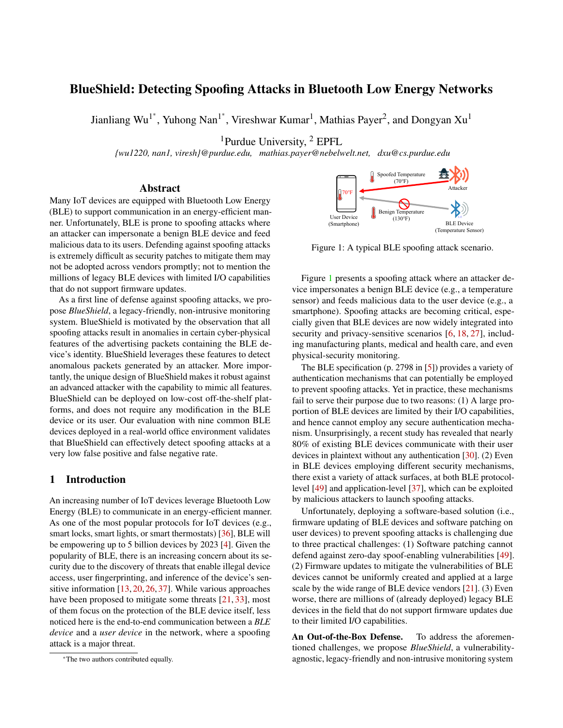# BlueShield: Detecting Spoofing Attacks in Bluetooth Low Energy Networks

Jianliang Wu<sup>1\*</sup>, Yuhong Nan<sup>1\*</sup>, Vireshwar Kumar<sup>1</sup>, Mathias Payer<sup>2</sup>, and Dongyan Xu<sup>1</sup>

<sup>1</sup>Purdue University, <sup>2</sup> EPFL

*{wu1220, nan1, viresh}@purdue.edu, mathias.payer@nebelwelt.net, dxu@cs.purdue.edu*

### Abstract

Many IoT devices are equipped with Bluetooth Low Energy (BLE) to support communication in an energy-efficient manner. Unfortunately, BLE is prone to spoofing attacks where an attacker can impersonate a benign BLE device and feed malicious data to its users. Defending against spoofing attacks is extremely difficult as security patches to mitigate them may not be adopted across vendors promptly; not to mention the millions of legacy BLE devices with limited I/O capabilities that do not support firmware updates.

As a first line of defense against spoofing attacks, we propose *BlueShield*, a legacy-friendly, non-intrusive monitoring system. BlueShield is motivated by the observation that all spoofing attacks result in anomalies in certain cyber-physical features of the advertising packets containing the BLE device's identity. BlueShield leverages these features to detect anomalous packets generated by an attacker. More importantly, the unique design of BlueShield makes it robust against an advanced attacker with the capability to mimic all features. BlueShield can be deployed on low-cost off-the-shelf platforms, and does not require any modification in the BLE device or its user. Our evaluation with nine common BLE devices deployed in a real-world office environment validates that BlueShield can effectively detect spoofing attacks at a very low false positive and false negative rate.

### 1 Introduction

An increasing number of IoT devices leverage Bluetooth Low Energy (BLE) to communicate in an energy-efficient manner. As one of the most popular protocols for IoT devices (e.g., smart locks, smart lights, or smart thermostats) [\[36\]](#page-12-0), BLE will be empowering up to 5 billion devices by 2023 [\[4\]](#page-11-0). Given the popularity of BLE, there is an increasing concern about its security due to the discovery of threats that enable illegal device access, user fingerprinting, and inference of the device's sensitive information  $[13, 20, 26, 37]$  $[13, 20, 26, 37]$  $[13, 20, 26, 37]$  $[13, 20, 26, 37]$  $[13, 20, 26, 37]$  $[13, 20, 26, 37]$  $[13, 20, 26, 37]$ . While various approaches have been proposed to mitigate some threats [\[21,](#page-12-3) [33\]](#page-12-4), most of them focus on the protection of the BLE device itself, less noticed here is the end-to-end communication between a *BLE device* and a *user device* in the network, where a spoofing attack is a major threat.

<span id="page-0-0"></span>

Figure 1: A typical BLE spoofing attack scenario.

Figure [1](#page-0-0) presents a spoofing attack where an attacker device impersonates a benign BLE device (e.g., a temperature sensor) and feeds malicious data to the user device (e.g., a smartphone). Spoofing attacks are becoming critical, especially given that BLE devices are now widely integrated into security and privacy-sensitive scenarios [\[6,](#page-11-3) [18,](#page-11-4) [27\]](#page-12-5), including manufacturing plants, medical and health care, and even physical-security monitoring.

The BLE specification (p. 2798 in [\[5\]](#page-11-5)) provides a variety of authentication mechanisms that can potentially be employed to prevent spoofing attacks. Yet in practice, these mechanisms fail to serve their purpose due to two reasons: (1) A large proportion of BLE devices are limited by their I/O capabilities, and hence cannot employ any secure authentication mechanism. Unsurprisingly, a recent study has revealed that nearly 80% of existing BLE devices communicate with their user devices in plaintext without any authentication [\[30\]](#page-12-6). (2) Even in BLE devices employing different security mechanisms, there exist a variety of attack surfaces, at both BLE protocollevel [\[49\]](#page-13-0) and application-level [\[37\]](#page-12-2), which can be exploited by malicious attackers to launch spoofing attacks.

Unfortunately, deploying a software-based solution (i.e., firmware updating of BLE devices and software patching on user devices) to prevent spoofing attacks is challenging due to three practical challenges: (1) Software patching cannot defend against zero-day spoof-enabling vulnerabilities [\[49\]](#page-13-0). (2) Firmware updates to mitigate the vulnerabilities of BLE devices cannot be uniformly created and applied at a large scale by the wide range of BLE device vendors [\[21\]](#page-12-3). (3) Even worse, there are millions of (already deployed) legacy BLE devices in the field that do not support firmware updates due to their limited I/O capabilities.

An Out-of-the-Box Defense. To address the aforementioned challenges, we propose *BlueShield*, a vulnerabilityagnostic, legacy-friendly and non-intrusive monitoring system

<sup>∗</sup>The two authors contributed equally.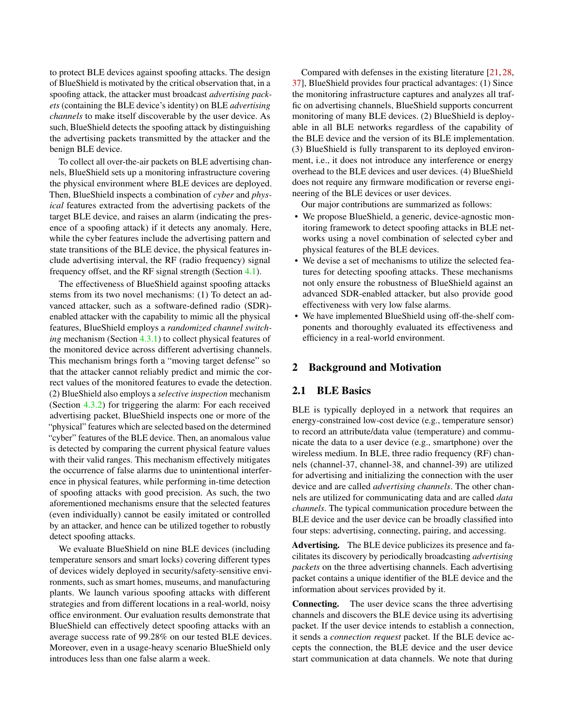to protect BLE devices against spoofing attacks. The design of BlueShield is motivated by the critical observation that, in a spoofing attack, the attacker must broadcast *advertising packets* (containing the BLE device's identity) on BLE *advertising channels* to make itself discoverable by the user device. As such, BlueShield detects the spoofing attack by distinguishing the advertising packets transmitted by the attacker and the benign BLE device.

To collect all over-the-air packets on BLE advertising channels, BlueShield sets up a monitoring infrastructure covering the physical environment where BLE devices are deployed. Then, BlueShield inspects a combination of *cyber* and *physical* features extracted from the advertising packets of the target BLE device, and raises an alarm (indicating the presence of a spoofing attack) if it detects any anomaly. Here, while the cyber features include the advertising pattern and state transitions of the BLE device, the physical features include advertising interval, the RF (radio frequency) signal frequency offset, and the RF signal strength (Section [4.1\)](#page-3-0).

The effectiveness of BlueShield against spoofing attacks stems from its two novel mechanisms: (1) To detect an advanced attacker, such as a software-defined radio (SDR) enabled attacker with the capability to mimic all the physical features, BlueShield employs a *randomized channel switching* mechanism (Section [4.3.1\)](#page-4-0) to collect physical features of the monitored device across different advertising channels. This mechanism brings forth a "moving target defense" so that the attacker cannot reliably predict and mimic the correct values of the monitored features to evade the detection. (2) BlueShield also employs a *selective inspection* mechanism (Section [4.3.2\)](#page-5-0) for triggering the alarm: For each received advertising packet, BlueShield inspects one or more of the "physical" features which are selected based on the determined "cyber" features of the BLE device. Then, an anomalous value is detected by comparing the current physical feature values with their valid ranges. This mechanism effectively mitigates the occurrence of false alarms due to unintentional interference in physical features, while performing in-time detection of spoofing attacks with good precision. As such, the two aforementioned mechanisms ensure that the selected features (even individually) cannot be easily imitated or controlled by an attacker, and hence can be utilized together to robustly detect spoofing attacks.

We evaluate BlueShield on nine BLE devices (including temperature sensors and smart locks) covering different types of devices widely deployed in security/safety-sensitive environments, such as smart homes, museums, and manufacturing plants. We launch various spoofing attacks with different strategies and from different locations in a real-world, noisy office environment. Our evaluation results demonstrate that BlueShield can effectively detect spoofing attacks with an average success rate of 99.28% on our tested BLE devices. Moreover, even in a usage-heavy scenario BlueShield only introduces less than one false alarm a week.

Compared with defenses in the existing literature [\[21,](#page-12-3) [28,](#page-12-7) [37\]](#page-12-2), BlueShield provides four practical advantages: (1) Since the monitoring infrastructure captures and analyzes all traffic on advertising channels, BlueShield supports concurrent monitoring of many BLE devices. (2) BlueShield is deployable in all BLE networks regardless of the capability of the BLE device and the version of its BLE implementation. (3) BlueShield is fully transparent to its deployed environment, i.e., it does not introduce any interference or energy overhead to the BLE devices and user devices. (4) BlueShield does not require any firmware modification or reverse engineering of the BLE devices or user devices.

Our major contributions are summarized as follows:

- We propose BlueShield, a generic, device-agnostic monitoring framework to detect spoofing attacks in BLE networks using a novel combination of selected cyber and physical features of the BLE devices.
- We devise a set of mechanisms to utilize the selected features for detecting spoofing attacks. These mechanisms not only ensure the robustness of BlueShield against an advanced SDR-enabled attacker, but also provide good effectiveness with very low false alarms.
- We have implemented BlueShield using off-the-shelf components and thoroughly evaluated its effectiveness and efficiency in a real-world environment.

### 2 Background and Motivation

#### 2.1 BLE Basics

BLE is typically deployed in a network that requires an energy-constrained low-cost device (e.g., temperature sensor) to record an attribute/data value (temperature) and communicate the data to a user device (e.g., smartphone) over the wireless medium. In BLE, three radio frequency (RF) channels (channel-37, channel-38, and channel-39) are utilized for advertising and initializing the connection with the user device and are called *advertising channels*. The other channels are utilized for communicating data and are called *data channels*. The typical communication procedure between the BLE device and the user device can be broadly classified into four steps: advertising, connecting, pairing, and accessing.

Advertising. The BLE device publicizes its presence and facilitates its discovery by periodically broadcasting *advertising packets* on the three advertising channels. Each advertising packet contains a unique identifier of the BLE device and the information about services provided by it.

Connecting. The user device scans the three advertising channels and discovers the BLE device using its advertising packet. If the user device intends to establish a connection, it sends a *connection request* packet. If the BLE device accepts the connection, the BLE device and the user device start communication at data channels. We note that during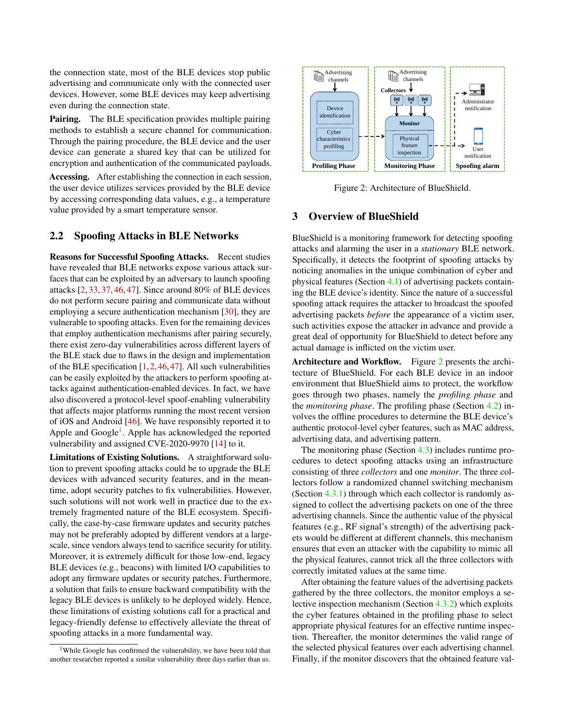the connection state, most of the BLE devices stop public advertising and communicate only with the connected user devices. However, some BLE devices may keep advertising even during the connection state.

Pairing. The BLE specification provides multiple pairing methods to establish a secure channel for communication. Through the pairing procedure, the BLE device and the user device can generate a shared key that can be utilized for encryption and authentication of the communicated payloads.

Accessing. After establishing the connection in each session, the user device utilizes services provided by the BLE device by accessing corresponding data values, e.g., a temperature value provided by a smart temperature sensor.

### 2.2 Spoofing Attacks in BLE Networks

Reasons for Successful Spoofing Attacks. Recent studies have revealed that BLE networks expose various attack surfaces that can be exploited by an adversary to launch spoofing attacks [\[2,](#page-11-6) [33,](#page-12-4) [37,](#page-12-2) [46,](#page-13-1) [47\]](#page-13-2). Since around 80% of BLE devices do not perform secure pairing and communicate data without employing a secure authentication mechanism [\[30\]](#page-12-6), they are vulnerable to spoofing attacks. Even for the remaining devices that employ authentication mechanisms after pairing securely, there exist zero-day vulnerabilities across different layers of the BLE stack due to flaws in the design and implementation of the BLE specification  $[1,2,46,47]$  $[1,2,46,47]$  $[1,2,46,47]$  $[1,2,46,47]$ . All such vulnerabilities can be easily exploited by the attackers to perform spoofing attacks against authentication-enabled devices. In fact, we have also discovered a protocol-level spoof-enabling vulnerability that affects major platforms running the most recent version of iOS and Android [\[46\]](#page-13-1). We have responsibly reported it to Apple and Google<sup>[1](#page-2-0)</sup>. Apple has acknowledged the reported vulnerability and assigned CVE-2020-9970 [\[14\]](#page-11-8) to it.

Limitations of Existing Solutions. A straightforward solution to prevent spoofing attacks could be to upgrade the BLE devices with advanced security features, and in the meantime, adopt security patches to fix vulnerabilities. However, such solutions will not work well in practice due to the extremely fragmented nature of the BLE ecosystem. Specifically, the case-by-case firmware updates and security patches may not be preferably adopted by different vendors at a largescale, since vendors always tend to sacrifice security for utility. Moreover, it is extremely difficult for those low-end, legacy BLE devices (e.g., beacons) with limited I/O capabilities to adopt any firmware updates or security patches. Furthermore, a solution that fails to ensure backward compatibility with the legacy BLE devices is unlikely to be deployed widely. Hence, these limitations of existing solutions call for a practical and legacy-friendly defense to effectively alleviate the threat of spoofing attacks in a more fundamental way.

<span id="page-2-1"></span>

Figure 2: Architecture of BlueShield.

# 3 Overview of BlueShield

BlueShield is a monitoring framework for detecting spoofing attacks and alarming the user in a *stationary* BLE network. Specifically, it detects the footprint of spoofing attacks by noticing anomalies in the unique combination of cyber and physical features (Section [4.1\)](#page-3-0) of advertising packets containing the BLE device's identity. Since the nature of a successful spoofing attack requires the attacker to broadcast the spoofed advertising packets *before* the appearance of a victim user, such activities expose the attacker in advance and provide a great deal of opportunity for BlueShield to detect before any actual damage is inflicted on the victim user.

Architecture and Workflow. Figure [2](#page-2-1) presents the architecture of BlueShield. For each BLE device in an indoor environment that BlueShield aims to protect, the workflow goes through two phases, namely the *profiling phase* and the *monitoring phase*. The profiling phase (Section [4.2\)](#page-4-1) involves the offline procedures to determine the BLE device's authentic protocol-level cyber features, such as MAC address, advertising data, and advertising pattern.

The monitoring phase (Section [4.3\)](#page-4-2) includes runtime procedures to detect spoofing attacks using an infrastructure consisting of three *collectors* and one *monitor*. The three collectors follow a randomized channel switching mechanism (Section [4.3.1\)](#page-4-0) through which each collector is randomly assigned to collect the advertising packets on one of the three advertising channels. Since the authentic value of the physical features (e.g., RF signal's strength) of the advertising packets would be different at different channels, this mechanism ensures that even an attacker with the capability to mimic all the physical features, cannot trick all the three collectors with correctly imitated values at the same time.

After obtaining the feature values of the advertising packets gathered by the three collectors, the monitor employs a selective inspection mechanism (Section [4.3.2\)](#page-5-0) which exploits the cyber features obtained in the profiling phase to select appropriate physical features for an effective runtime inspection. Thereafter, the monitor determines the valid range of the selected physical features over each advertising channel. Finally, if the monitor discovers that the obtained feature val-

<span id="page-2-0"></span><sup>&</sup>lt;sup>1</sup>While Google has confirmed the vulnerability, we have been told that another researcher reported a similar vulnerability three days earlier than us.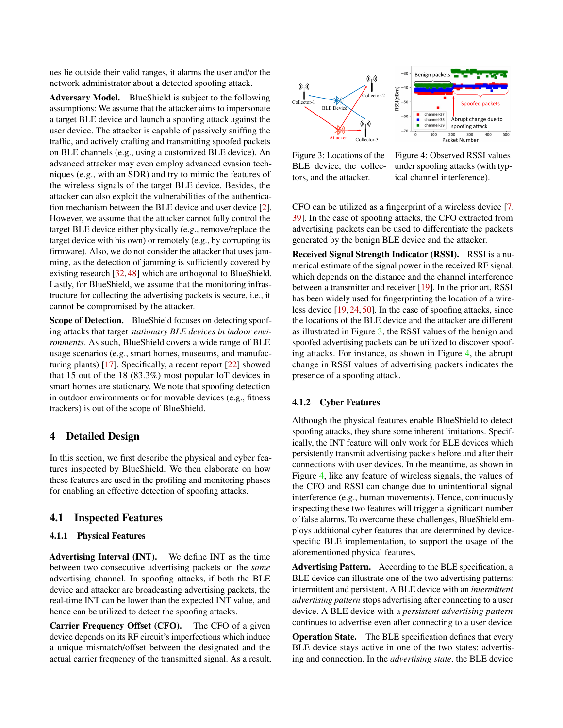ues lie outside their valid ranges, it alarms the user and/or the network administrator about a detected spoofing attack.

Adversary Model. BlueShield is subject to the following assumptions: We assume that the attacker aims to impersonate a target BLE device and launch a spoofing attack against the user device. The attacker is capable of passively sniffing the traffic, and actively crafting and transmitting spoofed packets on BLE channels (e.g., using a customized BLE device). An advanced attacker may even employ advanced evasion techniques (e.g., with an SDR) and try to mimic the features of the wireless signals of the target BLE device. Besides, the attacker can also exploit the vulnerabilities of the authentication mechanism between the BLE device and user device [\[2\]](#page-11-6). However, we assume that the attacker cannot fully control the target BLE device either physically (e.g., remove/replace the target device with his own) or remotely (e.g., by corrupting its firmware). Also, we do not consider the attacker that uses jamming, as the detection of jamming is sufficiently covered by existing research [\[32,](#page-12-8) [48\]](#page-13-3) which are orthogonal to BlueShield. Lastly, for BlueShield, we assume that the monitoring infrastructure for collecting the advertising packets is secure, i.e., it cannot be compromised by the attacker.

Scope of Detection. BlueShield focuses on detecting spoofing attacks that target *stationary BLE devices in indoor environments*. As such, BlueShield covers a wide range of BLE usage scenarios (e.g., smart homes, museums, and manufacturing plants) [\[17\]](#page-11-9). Specifically, a recent report [\[22\]](#page-12-9) showed that 15 out of the 18 (83.3%) most popular IoT devices in smart homes are stationary. We note that spoofing detection in outdoor environments or for movable devices (e.g., fitness trackers) is out of the scope of BlueShield.

### 4 Detailed Design

In this section, we first describe the physical and cyber features inspected by BlueShield. We then elaborate on how these features are used in the profiling and monitoring phases for enabling an effective detection of spoofing attacks.

### <span id="page-3-0"></span>4.1 Inspected Features

#### 4.1.1 Physical Features

Advertising Interval (INT). We define INT as the time between two consecutive advertising packets on the *same* advertising channel. In spoofing attacks, if both the BLE device and attacker are broadcasting advertising packets, the real-time INT can be lower than the expected INT value, and hence can be utilized to detect the spoofing attacks.

Carrier Frequency Offset (CFO). The CFO of a given device depends on its RF circuit's imperfections which induce a unique mismatch/offset between the designated and the actual carrier frequency of the transmitted signal. As a result,

<span id="page-3-1"></span>

Figure 3: Locations of the BLE device, the collectors, and the attacker.

Figure 4: Observed RSSI values under spoofing attacks (with typical channel interference).

CFO can be utilized as a fingerprint of a wireless device [\[7,](#page-11-10) [39\]](#page-12-10). In the case of spoofing attacks, the CFO extracted from advertising packets can be used to differentiate the packets generated by the benign BLE device and the attacker.

Received Signal Strength Indicator (RSSI). RSSI is a numerical estimate of the signal power in the received RF signal, which depends on the distance and the channel interference between a transmitter and receiver [\[19\]](#page-11-11). In the prior art, RSSI has been widely used for fingerprinting the location of a wireless device [\[19,](#page-11-11) [24,](#page-12-11) [50\]](#page-13-4). In the case of spoofing attacks, since the locations of the BLE device and the attacker are different as illustrated in Figure [3,](#page-3-1) the RSSI values of the benign and spoofed advertising packets can be utilized to discover spoofing attacks. For instance, as shown in Figure [4,](#page-3-1) the abrupt change in RSSI values of advertising packets indicates the presence of a spoofing attack.

#### 4.1.2 Cyber Features

Although the physical features enable BlueShield to detect spoofing attacks, they share some inherent limitations. Specifically, the INT feature will only work for BLE devices which persistently transmit advertising packets before and after their connections with user devices. In the meantime, as shown in Figure [4,](#page-3-1) like any feature of wireless signals, the values of the CFO and RSSI can change due to unintentional signal interference (e.g., human movements). Hence, continuously inspecting these two features will trigger a significant number of false alarms. To overcome these challenges, BlueShield employs additional cyber features that are determined by devicespecific BLE implementation, to support the usage of the aforementioned physical features.

Advertising Pattern. According to the BLE specification, a BLE device can illustrate one of the two advertising patterns: intermittent and persistent. A BLE device with an *intermittent advertising pattern* stops advertising after connecting to a user device. A BLE device with a *persistent advertising pattern* continues to advertise even after connecting to a user device.

Operation State. The BLE specification defines that every BLE device stays active in one of the two states: advertising and connection. In the *advertising state*, the BLE device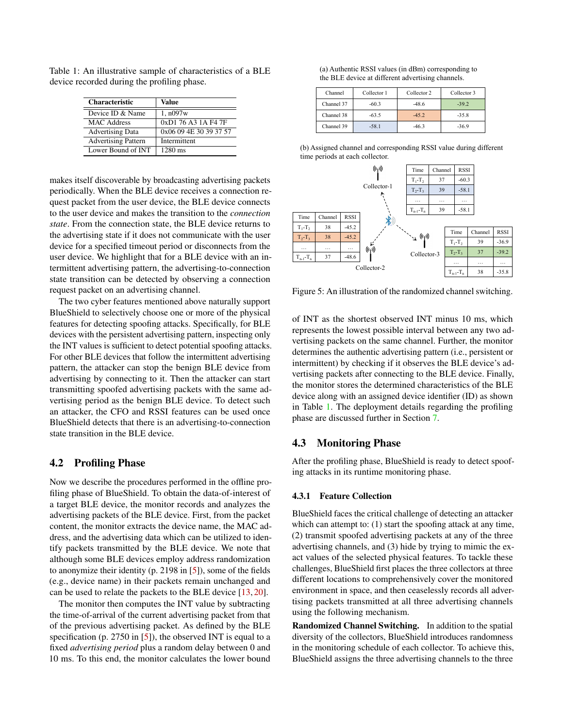| <b>Characteristic</b>      | Value                  |
|----------------------------|------------------------|
| Device ID & Name           | 1, n097w               |
| MAC Address                | 0xD1 76 A3 1A F4 7F    |
| <b>Advertising Data</b>    | 0x06 09 4E 30 39 37 57 |
| <b>Advertising Pattern</b> | Intermittent           |
| Lower Bound of INT         | $1280 \text{ ms}$      |

<span id="page-4-3"></span>Table 1: An illustrative sample of characteristics of a BLE device recorded during the profiling phase.

makes itself discoverable by broadcasting advertising packets periodically. When the BLE device receives a connection request packet from the user device, the BLE device connects to the user device and makes the transition to the *connection state*. From the connection state, the BLE device returns to the advertising state if it does not communicate with the user device for a specified timeout period or disconnects from the user device. We highlight that for a BLE device with an intermittent advertising pattern, the advertising-to-connection state transition can be detected by observing a connection request packet on an advertising channel.

The two cyber features mentioned above naturally support BlueShield to selectively choose one or more of the physical features for detecting spoofing attacks. Specifically, for BLE devices with the persistent advertising pattern, inspecting only the INT values is sufficient to detect potential spoofing attacks. For other BLE devices that follow the intermittent advertising pattern, the attacker can stop the benign BLE device from advertising by connecting to it. Then the attacker can start transmitting spoofed advertising packets with the same advertising period as the benign BLE device. To detect such an attacker, the CFO and RSSI features can be used once BlueShield detects that there is an advertising-to-connection state transition in the BLE device.

### <span id="page-4-1"></span>4.2 Profiling Phase

Now we describe the procedures performed in the offline profiling phase of BlueShield. To obtain the data-of-interest of a target BLE device, the monitor records and analyzes the advertising packets of the BLE device. First, from the packet content, the monitor extracts the device name, the MAC address, and the advertising data which can be utilized to identify packets transmitted by the BLE device. We note that although some BLE devices employ address randomization to anonymize their identity (p. 2198 in [\[5\]](#page-11-5)), some of the fields (e.g., device name) in their packets remain unchanged and can be used to relate the packets to the BLE device [\[13,](#page-11-1) [20\]](#page-11-2).

The monitor then computes the INT value by subtracting the time-of-arrival of the current advertising packet from that of the previous advertising packet. As defined by the BLE specification (p. 2750 in [\[5\]](#page-11-5)), the observed INT is equal to a fixed *advertising period* plus a random delay between 0 and 10 ms. To this end, the monitor calculates the lower bound

<span id="page-4-4"></span>(a) Authentic RSSI values (in dBm) corresponding to the BLE device at different advertising channels.

| Channel    | Collector 1 | Collector 2 |         |
|------------|-------------|-------------|---------|
| Channel 37 | $-60.3$     | $-48.6$     | $-39.2$ |
| Channel 38 | $-63.5$     | $-45.2$     | $-35.8$ |
| Channel 39 | $-58.1$     | $-46.3$     | $-36.9$ |

(b) Assigned channel and corresponding RSSI value during different time periods at each collector.



Figure 5: An illustration of the randomized channel switching.

of INT as the shortest observed INT minus 10 ms, which represents the lowest possible interval between any two advertising packets on the same channel. Further, the monitor determines the authentic advertising pattern (i.e., persistent or intermittent) by checking if it observes the BLE device's advertising packets after connecting to the BLE device. Finally, the monitor stores the determined characteristics of the BLE device along with an assigned device identifier (ID) as shown in Table [1.](#page-4-3) The deployment details regarding the profiling phase are discussed further in Section [7.](#page-10-0)

### <span id="page-4-2"></span>4.3 Monitoring Phase

After the profiling phase, BlueShield is ready to detect spoofing attacks in its runtime monitoring phase.

#### <span id="page-4-0"></span>4.3.1 Feature Collection

BlueShield faces the critical challenge of detecting an attacker which can attempt to: (1) start the spoofing attack at any time, (2) transmit spoofed advertising packets at any of the three advertising channels, and (3) hide by trying to mimic the exact values of the selected physical features. To tackle these challenges, BlueShield first places the three collectors at three different locations to comprehensively cover the monitored environment in space, and then ceaselessly records all advertising packets transmitted at all three advertising channels using the following mechanism.

Randomized Channel Switching. In addition to the spatial diversity of the collectors, BlueShield introduces randomness in the monitoring schedule of each collector. To achieve this, BlueShield assigns the three advertising channels to the three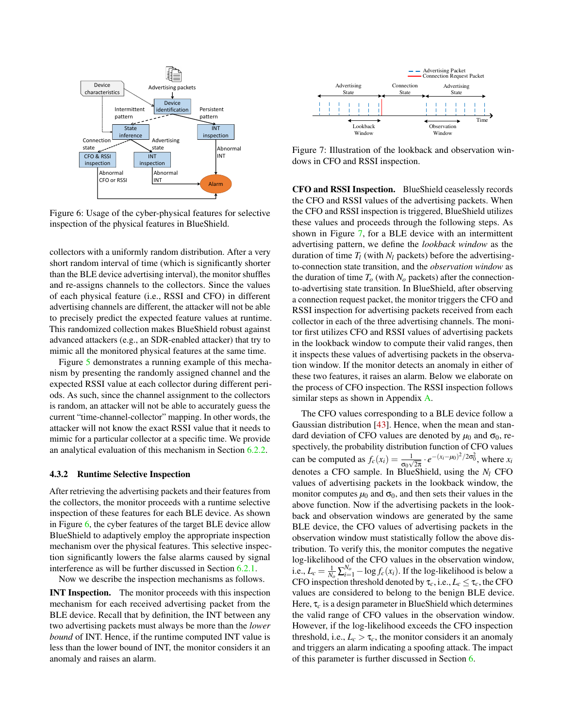<span id="page-5-1"></span>

Figure 6: Usage of the cyber-physical features for selective inspection of the physical features in BlueShield.

collectors with a uniformly random distribution. After a very short random interval of time (which is significantly shorter than the BLE device advertising interval), the monitor shuffles and re-assigns channels to the collectors. Since the values of each physical feature (i.e., RSSI and CFO) in different advertising channels are different, the attacker will not be able to precisely predict the expected feature values at runtime. This randomized collection makes BlueShield robust against advanced attackers (e.g., an SDR-enabled attacker) that try to mimic all the monitored physical features at the same time.

Figure [5](#page-4-4) demonstrates a running example of this mechanism by presenting the randomly assigned channel and the expected RSSI value at each collector during different periods. As such, since the channel assignment to the collectors is random, an attacker will not be able to accurately guess the current "time-channel-collector" mapping. In other words, the attacker will not know the exact RSSI value that it needs to mimic for a particular collector at a specific time. We provide an analytical evaluation of this mechanism in Section [6.2.2.](#page-8-0)

#### <span id="page-5-0"></span>4.3.2 Runtime Selective Inspection

After retrieving the advertising packets and their features from the collectors, the monitor proceeds with a runtime selective inspection of these features for each BLE device. As shown in Figure [6,](#page-5-1) the cyber features of the target BLE device allow BlueShield to adaptively employ the appropriate inspection mechanism over the physical features. This selective inspection significantly lowers the false alarms caused by signal interference as will be further discussed in Section [6.2.1.](#page-7-0)

Now we describe the inspection mechanisms as follows.

INT Inspection. The monitor proceeds with this inspection mechanism for each received advertising packet from the BLE device. Recall that by definition, the INT between any two advertising packets must always be more than the *lower bound* of INT. Hence, if the runtime computed INT value is less than the lower bound of INT, the monitor considers it an anomaly and raises an alarm.

<span id="page-5-2"></span>

Figure 7: Illustration of the lookback and observation windows in CFO and RSSI inspection.

CFO and RSSI Inspection. BlueShield ceaselessly records the CFO and RSSI values of the advertising packets. When the CFO and RSSI inspection is triggered, BlueShield utilizes these values and proceeds through the following steps. As shown in Figure [7,](#page-5-2) for a BLE device with an intermittent advertising pattern, we define the *lookback window* as the duration of time  $T_l$  (with  $N_l$  packets) before the advertisingto-connection state transition, and the *observation window* as the duration of time  $T<sub>o</sub>$  (with  $N<sub>o</sub>$  packets) after the connectionto-advertising state transition. In BlueShield, after observing a connection request packet, the monitor triggers the CFO and RSSI inspection for advertising packets received from each collector in each of the three advertising channels. The monitor first utilizes CFO and RSSI values of advertising packets in the lookback window to compute their valid ranges, then it inspects these values of advertising packets in the observation window. If the monitor detects an anomaly in either of these two features, it raises an alarm. Below we elaborate on the process of CFO inspection. The RSSI inspection follows similar steps as shown in Appendix [A.](#page-13-5)

The CFO values corresponding to a BLE device follow a Gaussian distribution [\[43\]](#page-13-6). Hence, when the mean and standard deviation of CFO values are denoted by  $\mu_0$  and  $\sigma_0$ , respectively, the probability distribution function of CFO values can be computed as  $f_c(x_i) = \frac{1}{\sigma_0 \sqrt{2\pi}} \cdot e^{-(x_i - \mu_0)^2/2\sigma_0^2}$ , where  $x_i$ denotes a CFO sample. In BlueShield, using the *N<sup>l</sup>* CFO values of advertising packets in the lookback window, the monitor computes  $\mu_0$  and  $\sigma_0$ , and then sets their values in the above function. Now if the advertising packets in the lookback and observation windows are generated by the same BLE device, the CFO values of advertising packets in the observation window must statistically follow the above distribution. To verify this, the monitor computes the negative log-likelihood of the CFO values in the observation window, i.e.,  $L_c = \frac{1}{N_o} \sum_{i=1}^{N_o} -\log f_c(x_i)$ . If the log-likelihood is below a CFO inspection threshold denoted by  $\tau_c$ , i.e.,  $L_c \leq \tau_c$ , the CFO values are considered to belong to the benign BLE device. Here, τ*<sup>c</sup>* is a design parameter in BlueShield which determines the valid range of CFO values in the observation window. However, if the log-likelihood exceeds the CFO inspection threshold, i.e.,  $L_c > \tau_c$ , the monitor considers it an anomaly and triggers an alarm indicating a spoofing attack. The impact of this parameter is further discussed in Section [6.](#page-6-0)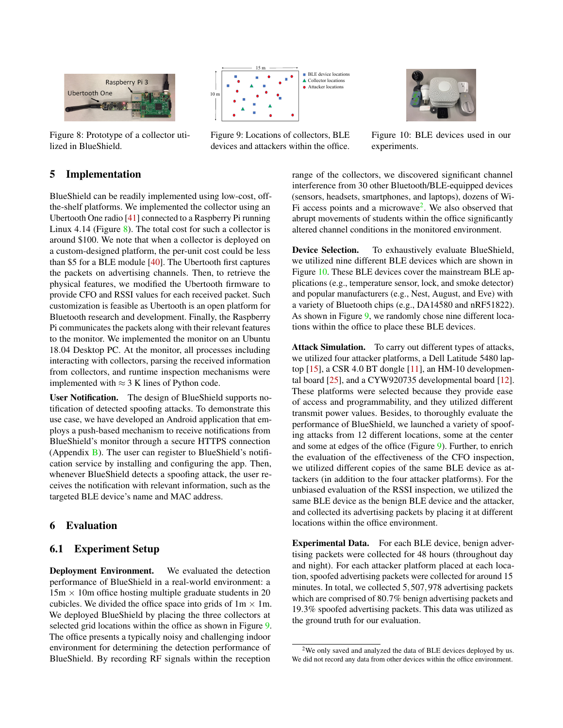<span id="page-6-1"></span>

Figure 8: Prototype of a collector utilized in BlueShield.



Figure 9: Locations of collectors, BLE devices and attackers within the office.



Figure 10: BLE devices used in our experiments.

# 5 Implementation

BlueShield can be readily implemented using low-cost, offthe-shelf platforms. We implemented the collector using an Ubertooth One radio [\[41\]](#page-12-12) connected to a Raspberry Pi running Linux 4.14 (Figure  $\frac{8}{2}$ ). The total cost for such a collector is around \$100. We note that when a collector is deployed on a custom-designed platform, the per-unit cost could be less than \$5 for a BLE module [\[40\]](#page-12-13). The Ubertooth first captures the packets on advertising channels. Then, to retrieve the physical features, we modified the Ubertooth firmware to provide CFO and RSSI values for each received packet. Such customization is feasible as Ubertooth is an open platform for Bluetooth research and development. Finally, the Raspberry Pi communicates the packets along with their relevant features to the monitor. We implemented the monitor on an Ubuntu 18.04 Desktop PC. At the monitor, all processes including interacting with collectors, parsing the received information from collectors, and runtime inspection mechanisms were implemented with  $\approx$  3 K lines of Python code.

User Notification. The design of BlueShield supports notification of detected spoofing attacks. To demonstrate this use case, we have developed an Android application that employs a push-based mechanism to receive notifications from BlueShield's monitor through a secure HTTPS connection (Appendix  $\overline{B}$ ). The user can register to BlueShield's notification service by installing and configuring the app. Then, whenever BlueShield detects a spoofing attack, the user receives the notification with relevant information, such as the targeted BLE device's name and MAC address.

# <span id="page-6-0"></span>6 Evaluation

### 6.1 Experiment Setup

Deployment Environment. We evaluated the detection performance of BlueShield in a real-world environment: a  $15m \times 10m$  office hosting multiple graduate students in 20 cubicles. We divided the office space into grids of  $1m \times 1m$ . We deployed BlueShield by placing the three collectors at selected grid locations within the office as shown in Figure [9.](#page-6-1) The office presents a typically noisy and challenging indoor environment for determining the detection performance of BlueShield. By recording RF signals within the reception

range of the collectors, we discovered significant channel interference from 30 other Bluetooth/BLE-equipped devices (sensors, headsets, smartphones, and laptops), dozens of Wi-Fi access points and a microwave<sup>[2](#page-6-2)</sup>. We also observed that abrupt movements of students within the office significantly altered channel conditions in the monitored environment.

Device Selection. To exhaustively evaluate BlueShield, we utilized nine different BLE devices which are shown in Figure [10.](#page-6-1) These BLE devices cover the mainstream BLE applications (e.g., temperature sensor, lock, and smoke detector) and popular manufacturers (e.g., Nest, August, and Eve) with a variety of Bluetooth chips (e.g., DA14580 and nRF51822). As shown in Figure [9,](#page-6-1) we randomly chose nine different locations within the office to place these BLE devices.

Attack Simulation. To carry out different types of attacks, we utilized four attacker platforms, a Dell Latitude 5480 laptop [\[15\]](#page-11-12), a CSR 4.0 BT dongle [\[11\]](#page-11-13), an HM-10 developmental board [\[25\]](#page-12-14), and a CYW920735 developmental board [\[12\]](#page-11-14). These platforms were selected because they provide ease of access and programmability, and they utilized different transmit power values. Besides, to thoroughly evaluate the performance of BlueShield, we launched a variety of spoofing attacks from 12 different locations, some at the center and some at edges of the office (Figure [9\)](#page-6-1). Further, to enrich the evaluation of the effectiveness of the CFO inspection, we utilized different copies of the same BLE device as attackers (in addition to the four attacker platforms). For the unbiased evaluation of the RSSI inspection, we utilized the same BLE device as the benign BLE device and the attacker, and collected its advertising packets by placing it at different locations within the office environment.

Experimental Data. For each BLE device, benign advertising packets were collected for 48 hours (throughout day and night). For each attacker platform placed at each location, spoofed advertising packets were collected for around 15 minutes. In total, we collected 5,507,978 advertising packets which are comprised of 80.7% benign advertising packets and 19.3% spoofed advertising packets. This data was utilized as the ground truth for our evaluation.

<span id="page-6-2"></span><sup>&</sup>lt;sup>2</sup>We only saved and analyzed the data of BLE devices deployed by us. We did not record any data from other devices within the office environment.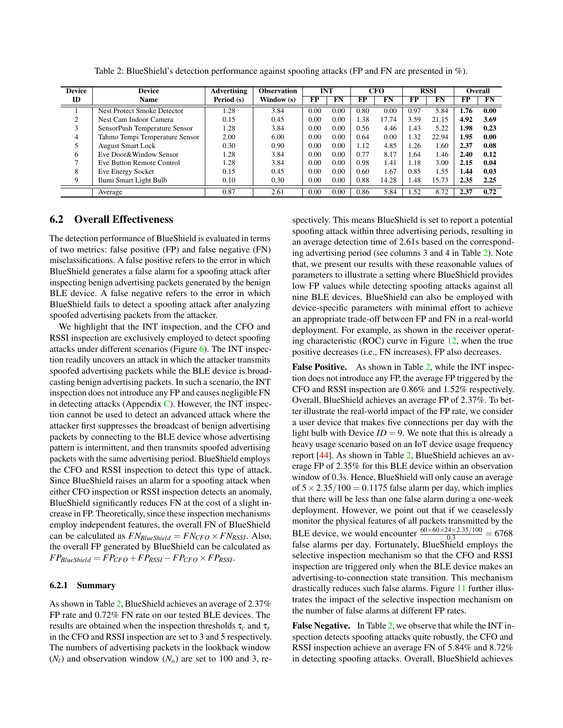<span id="page-7-1"></span>

| <b>Device</b> | <b>Device</b>                  | <b>Advertising</b> | <b>Observation</b> | <b>INT</b> |      | <b>CFO</b>          |       | <b>RSSI</b> |       | Overall |      |
|---------------|--------------------------------|--------------------|--------------------|------------|------|---------------------|-------|-------------|-------|---------|------|
| ID            | <b>Name</b>                    | Period (s)         | Window (s)         | FP         | FN   | $\overline{\bf FP}$ | FN    | FP          | FN    | FP      | FN   |
|               | Nest Protect Smoke Detector    | 1.28               | 3.84               | 0.00       | 0.00 | 0.80                | 0.00  | 0.97        | 5.84  | 1.76    | 0.00 |
|               | Nest Cam Indoor Camera         | 0.15               | 0.45               | 0.00       | 0.00 | l.38                | 17.74 | 3.59        | 21.15 | 4.92    | 3.69 |
|               | SensorPush Temperature Sensor  | 1.28               | 3.84               | 0.00       | 0.00 | 0.56                | 4.46  | 1.43        | 5.22  | 1.98    | 0.23 |
| 4             | Tahmo Tempi Temperature Sensor | 2.00               | 6.00               | 0.00       | 0.00 | 0.64                | 0.00  | 1.32        | 22.94 | 1.95    | 0.00 |
|               | <b>August Smart Lock</b>       | 0.30               | 0.90               | 0.00       | 0.00 | 1.12                | 4.85  | 1.26        | 1.60  | 2.37    | 0.08 |
| 6             | Eve Door&Window Sensor         | 1.28               | 3.84               | 0.00       | 0.00 | 0.77                | 8.17  | 1.64        | 1.46  | 2.40    | 0.12 |
|               | Eve Button Remote Control      | 1.28               | 3.84               | 0.00       | 0.00 | 0.98                | 1.41  | 1.18        | 3.00  | 2.15    | 0.04 |
| 8             | Eve Energy Socket              | 0.15               | 0.45               | 0.00       | 0.00 | 0.60                | 1.67  | 0.85        | 1.55  | 1.44    | 0.03 |
| 9             | Ilumi Smart Light Bulb         | 0.10               | 0.30               | 0.00       | 0.00 | 0.88                | 14.28 | 1.48        | 15.73 | 2.35    | 2.25 |
|               | Average                        | 0.87               | 2.61               | 0.00       | 0.00 | 0.86                | 5.84  | 1.52        | 8.72  | 2.37    | 0.72 |

Table 2: BlueShield's detection performance against spoofing attacks (FP and FN are presented in %).

## 6.2 Overall Effectiveness

The detection performance of BlueShield is evaluated in terms of two metrics: false positive (FP) and false negative (FN) misclassifications. A false positive refers to the error in which BlueShield generates a false alarm for a spoofing attack after inspecting benign advertising packets generated by the benign BLE device. A false negative refers to the error in which BlueShield fails to detect a spoofing attack after analyzing spoofed advertising packets from the attacker.

We highlight that the INT inspection, and the CFO and RSSI inspection are exclusively employed to detect spoofing attacks under different scenarios (Figure [6\)](#page-5-1). The INT inspection readily uncovers an attack in which the attacker transmits spoofed advertising packets while the BLE device is broadcasting benign advertising packets. In such a scenario, the INT inspection does not introduce any FP and causes negligible FN in detecting attacks (Appendix  $C$ ). However, the INT inspection cannot be used to detect an advanced attack where the attacker first suppresses the broadcast of benign advertising packets by connecting to the BLE device whose advertising pattern is intermittent, and then transmits spoofed advertising packets with the same advertising period. BlueShield employs the CFO and RSSI inspection to detect this type of attack. Since BlueShield raises an alarm for a spoofing attack when either CFO inspection or RSSI inspection detects an anomaly, BlueShield significantly reduces FN at the cost of a slight increase in FP. Theoretically, since these inspection mechanisms employ independent features, the overall FN of BlueShield can be calculated as  $FN_{BlueShield} = FN_{CFO} \times FN_{RSSI}$ . Also, the overall FP generated by BlueShield can be calculated as  $FP_{BlueShifted} = FP_{CFO} + FP_{RSSI} - FP_{CFO} \times FP_{RSSI}.$ 

#### <span id="page-7-0"></span>6.2.1 Summary

As shown in Table [2,](#page-7-1) BlueShield achieves an average of 2.37% FP rate and 0.72% FN rate on our tested BLE devices. The results are obtained when the inspection thresholds τ*<sup>c</sup>* and τ*<sup>r</sup>* in the CFO and RSSI inspection are set to 3 and 5 respectively. The numbers of advertising packets in the lookback window  $(N_l)$  and observation window  $(N_o)$  are set to 100 and 3, re-

spectively. This means BlueShield is set to report a potential spoofing attack within three advertising periods, resulting in an average detection time of 2.61s based on the corresponding advertising period (see columns 3 and 4 in Table [2\)](#page-7-1). Note that, we present our results with these reasonable values of parameters to illustrate a setting where BlueShield provides low FP values while detecting spoofing attacks against all nine BLE devices. BlueShield can also be employed with device-specific parameters with minimal effort to achieve an appropriate trade-off between FP and FN in a real-world deployment. For example, as shown in the receiver operating characteristic (ROC) curve in Figure [12,](#page-9-0) when the true positive decreases (i.e., FN increases), FP also decreases.

False Positive. As shown in Table [2,](#page-7-1) while the INT inspection does not introduce any FP, the average FP triggered by the CFO and RSSI inspection are 0.86% and 1.52% respectively. Overall, BlueShield achieves an average FP of 2.37%. To better illustrate the real-world impact of the FP rate, we consider a user device that makes five connections per day with the light bulb with Device  $ID = 9$ . We note that this is already a heavy usage scenario based on an IoT device usage frequency report [\[44\]](#page-13-9). As shown in Table [2,](#page-7-1) BlueShield achieves an average FP of 2.35% for this BLE device within an observation window of 0.3s. Hence, BlueShield will only cause an average of  $5 \times 2.35/100 = 0.1175$  false alarm per day, which implies that there will be less than one false alarm during a one-week deployment. However, we point out that if we ceaselessly monitor the physical features of all packets transmitted by the BLE device, we would encounter  $\frac{60 \times 60 \times 24 \times 2.35/100}{0.3} = 6768$ false alarms per day. Fortunately, BlueShield employs the selective inspection mechanism so that the CFO and RSSI inspection are triggered only when the BLE device makes an advertising-to-connection state transition. This mechanism drastically reduces such false alarms. Figure [11](#page-8-1) further illustrates the impact of the selective inspection mechanism on the number of false alarms at different FP rates.

False Negative. In Table [2,](#page-7-1) we observe that while the INT inspection detects spoofing attacks quite robustly, the CFO and RSSI inspection achieve an average FN of 5.84% and 8.72% in detecting spoofing attacks. Overall, BlueShield achieves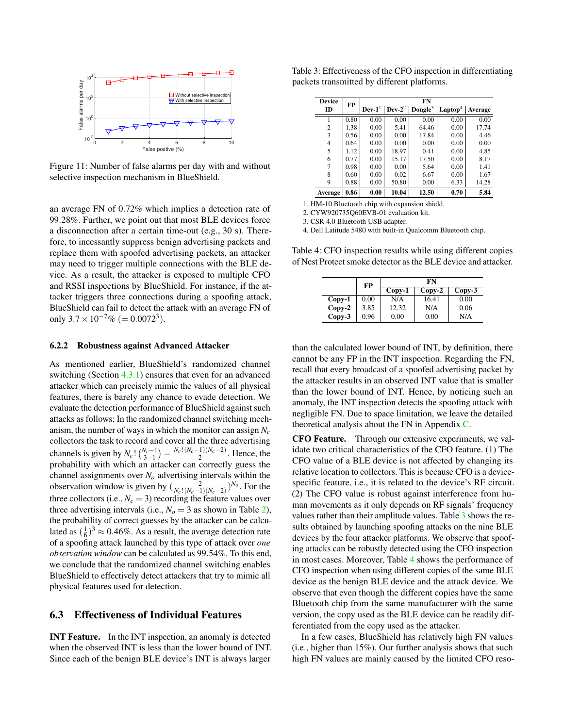<span id="page-8-1"></span>

Figure 11: Number of false alarms per day with and without selective inspection mechanism in BlueShield.

an average FN of 0.72% which implies a detection rate of 99.28%. Further, we point out that most BLE devices force a disconnection after a certain time-out (e.g., 30 s). Therefore, to incessantly suppress benign advertising packets and replace them with spoofed advertising packets, an attacker may need to trigger multiple connections with the BLE device. As a result, the attacker is exposed to multiple CFO and RSSI inspections by BlueShield. For instance, if the attacker triggers three connections during a spoofing attack, BlueShield can fail to detect the attack with an average FN of only  $3.7 \times 10^{-7}$ % (= 0.0072<sup>3</sup>).

#### <span id="page-8-0"></span>6.2.2 Robustness against Advanced Attacker

As mentioned earlier, BlueShield's randomized channel switching (Section [4.3.1\)](#page-4-0) ensures that even for an advanced attacker which can precisely mimic the values of all physical features, there is barely any chance to evade detection. We evaluate the detection performance of BlueShield against such attacks as follows: In the randomized channel switching mechanism, the number of ways in which the monitor can assign *N<sup>c</sup>* collectors the task to record and cover all the three advertising channels is given by  $N_c! \binom{N_c-1}{3-1} = \frac{N_c! (N_c-1)(N_c-2)}{2}$ . Hence, the probability with which an attacker can correctly guess the channel assignments over *N<sup>o</sup>* advertising intervals within the observation window is given by  $\left(\frac{2}{N_c!(N_c-1)(N_c-2)}\right)^{N_o}$ . For the three collectors (i.e.,  $N_c = 3$ ) recording the feature values over three advertising intervals (i.e.,  $N_o = 3$  as shown in Table [2\)](#page-7-1), the probability of correct guesses by the attacker can be calculated as  $(\frac{1}{6})^3 \approx 0.46\%$ . As a result, the average detection rate of a spoofing attack launched by this type of attack over *one observation window* can be calculated as 99.54%. To this end, we conclude that the randomized channel switching enables BlueShield to effectively detect attackers that try to mimic all physical features used for detection.

### 6.3 Effectiveness of Individual Features

INT Feature. In the INT inspection, an anomaly is detected when the observed INT is less than the lower bound of INT. Since each of the benign BLE device's INT is always larger

<span id="page-8-2"></span>Table 3: Effectiveness of the CFO inspection in differentiating packets transmitted by different platforms.

| <b>Device</b> | FP   |         | FN       |                     |               |         |  |  |  |
|---------------|------|---------|----------|---------------------|---------------|---------|--|--|--|
| ID            |      | $Dev-1$ | $Dev-22$ | Dongle <sup>3</sup> | $L$ aptop $4$ | Average |  |  |  |
|               | 0.80 | 0.00    | 0.00     | 0.00                | 0.00          | 0.00    |  |  |  |
| 2             | 1.38 | 0.00    | 5.41     | 64.46               | 0.00          | 17.74   |  |  |  |
| 3             | 0.56 | 0.00    | 0.00     | 17.84               | 0.00          | 4.46    |  |  |  |
| 4             | 0.64 | 0.00    | 0.00     | 0.00                | 0.00          | 0.00    |  |  |  |
| 5             | 1.12 | 0.00    | 18.97    | 0.41                | 0.00          | 4.85    |  |  |  |
| 6             | 0.77 | 0.00    | 15.17    | 17.50               | 0.00          | 8.17    |  |  |  |
| 7             | 0.98 | 0.00    | 0.00     | 5.64                | 0.00          | 1.41    |  |  |  |
| 8             | 0.60 | 0.00    | 0.02     | 6.67                | 0.00          | 1.67    |  |  |  |
| 9             | 0.88 | 0.00    | 50.80    | 0.00                | 6.33          | 14.28   |  |  |  |
| Average       | 0.86 | 0.00    | 10.04    | 12.50               | 0.70          | 5.84    |  |  |  |

1. HM-10 Bluetooth chip with expansion shield.

2. CYW920735Q60EVB-01 evaluation kit.

3. CSR 4.0 Bluetooth USB adapter.

ċ

4. Dell Latitude 5480 with built-in Qualcomm Bluetooth chip.

<span id="page-8-3"></span>Table 4: CFO inspection results while using different copies of Nest Protect smoke detector as the BLE device and attacker.

|          | FP   |          | FN       |          |
|----------|------|----------|----------|----------|
|          |      | $Copy-1$ | $Copy-2$ | $Copy-3$ |
| $Copy-1$ | 0.00 | N/A      | 16.41    | 0.00     |
| $Copy-2$ | 3.85 | 12.32    | N/A      | 0.06     |
| $Copy-3$ | 0.96 | 0.00     | 0.00     | N/A      |

than the calculated lower bound of INT, by definition, there cannot be any FP in the INT inspection. Regarding the FN, recall that every broadcast of a spoofed advertising packet by the attacker results in an observed INT value that is smaller than the lower bound of INT. Hence, by noticing such an anomaly, the INT inspection detects the spoofing attack with negligible FN. Due to space limitation, we leave the detailed theoretical analysis about the FN in Appendix [C.](#page-13-8)

CFO Feature. Through our extensive experiments, we validate two critical characteristics of the CFO feature. (1) The CFO value of a BLE device is not affected by changing its relative location to collectors. This is because CFO is a devicespecific feature, i.e., it is related to the device's RF circuit. (2) The CFO value is robust against interference from human movements as it only depends on RF signals' frequency values rather than their amplitude values. Table [3](#page-8-2) shows the results obtained by launching spoofing attacks on the nine BLE devices by the four attacker platforms. We observe that spoofing attacks can be robustly detected using the CFO inspection in most cases. Moreover, Table [4](#page-8-3) shows the performance of CFO inspection when using different copies of the same BLE device as the benign BLE device and the attack device. We observe that even though the different copies have the same Bluetooth chip from the same manufacturer with the same version, the copy used as the BLE device can be readily differentiated from the copy used as the attacker.

In a few cases, BlueShield has relatively high FN values (i.e., higher than 15%). Our further analysis shows that such high FN values are mainly caused by the limited CFO reso-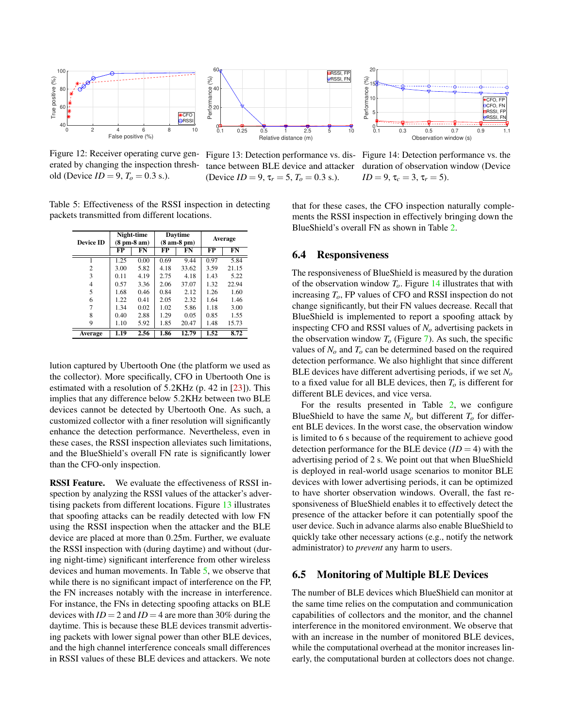<span id="page-9-0"></span>

Figure 12: Receiver operating curve generated by changing the inspection threshold (Device  $ID = 9, T_0 = 0.3$  s.).



(Device  $ID = 9$ ,  $\tau_r = 5$ ,  $T_o = 0.3$  s.).



Figure 13: Detection performance vs. dis-Figure 14: Detection performance vs. the tance between BLE device and attacker duration of observation window (Device  $ID = 9, \tau_c = 3, \tau_r = 5$ .

<span id="page-9-1"></span>Table 5: Effectiveness of the RSSI inspection in detecting packets transmitted from different locations.

| <b>Device ID</b> |      | Night-time<br>$(8 \text{ pm-}8 \text{ am})$ | Davtime<br>$(8 am-8 pm)$ |       | Average<br>FP |       |  |
|------------------|------|---------------------------------------------|--------------------------|-------|---------------|-------|--|
|                  | FP   | FN                                          | FP                       | FN    |               | FN    |  |
| 1                | 1.25 | 0.00                                        | 0.69                     | 9.44  | 0.97          | 5.84  |  |
| $\overline{c}$   | 3.00 | 5.82                                        | 4.18                     | 33.62 | 3.59          | 21.15 |  |
| 3                | 0.11 | 4.19                                        | 2.75                     | 4.18  | 1.43          | 5.22  |  |
| 4                | 0.57 | 3.36                                        | 2.06                     | 37.07 | 1.32          | 22.94 |  |
| 5                | 1.68 | 0.46                                        | 0.84                     | 2.12  | 1.26          | 1.60  |  |
| 6                | 1.22 | 0.41                                        | 2.05                     | 2.32  | 1.64          | 1.46  |  |
| 7                | 1.34 | 0.02                                        | 1.02                     | 5.86  | 1.18          | 3.00  |  |
| 8                | 0.40 | 2.88                                        | 1.29                     | 0.05  | 0.85          | 1.55  |  |
| 9                | 1.10 | 5.92                                        | 1.85                     | 20.47 | 1.48          | 15.73 |  |
| Average          | 1.19 | 2.56                                        | 1.86                     | 12.79 | 1.52          | 8.72  |  |

lution captured by Ubertooth One (the platform we used as the collector). More specifically, CFO in Ubertooth One is estimated with a resolution of 5.2KHz (p. 42 in [\[23\]](#page-12-15)). This implies that any difference below 5.2KHz between two BLE devices cannot be detected by Ubertooth One. As such, a customized collector with a finer resolution will significantly enhance the detection performance. Nevertheless, even in these cases, the RSSI inspection alleviates such limitations, and the BlueShield's overall FN rate is significantly lower than the CFO-only inspection.

RSSI Feature. We evaluate the effectiveness of RSSI inspection by analyzing the RSSI values of the attacker's advertising packets from different locations. Figure [13](#page-9-0) illustrates that spoofing attacks can be readily detected with low FN using the RSSI inspection when the attacker and the BLE device are placed at more than 0.25m. Further, we evaluate the RSSI inspection with (during daytime) and without (during night-time) significant interference from other wireless devices and human movements. In Table [5,](#page-9-1) we observe that while there is no significant impact of interference on the FP, the FN increases notably with the increase in interference. For instance, the FNs in detecting spoofing attacks on BLE devices with  $ID = 2$  and  $ID = 4$  are more than 30% during the daytime. This is because these BLE devices transmit advertising packets with lower signal power than other BLE devices, and the high channel interference conceals small differences in RSSI values of these BLE devices and attackers. We note

that for these cases, the CFO inspection naturally complements the RSSI inspection in effectively bringing down the BlueShield's overall FN as shown in Table [2.](#page-7-1)

### 6.4 Responsiveness

The responsiveness of BlueShield is measured by the duration of the observation window  $T<sub>o</sub>$ . Figure [14](#page-9-0) illustrates that with increasing *To*, FP values of CFO and RSSI inspection do not change significantly, but their FN values decrease. Recall that BlueShield is implemented to report a spoofing attack by inspecting CFO and RSSI values of *N<sup>o</sup>* advertising packets in the observation window  $T<sub>o</sub>$  (Figure [7\)](#page-5-2). As such, the specific values of  $N<sub>o</sub>$  and  $T<sub>o</sub>$  can be determined based on the required detection performance. We also highlight that since different BLE devices have different advertising periods, if we set *N<sup>o</sup>* to a fixed value for all BLE devices, then  $T<sub>o</sub>$  is different for different BLE devices, and vice versa.

For the results presented in Table [2,](#page-7-1) we configure BlueShield to have the same  $N<sub>o</sub>$  but different  $T<sub>o</sub>$  for different BLE devices. In the worst case, the observation window is limited to 6 s because of the requirement to achieve good detection performance for the BLE device  $(ID = 4)$  with the advertising period of 2 s. We point out that when BlueShield is deployed in real-world usage scenarios to monitor BLE devices with lower advertising periods, it can be optimized to have shorter observation windows. Overall, the fast responsiveness of BlueShield enables it to effectively detect the presence of the attacker before it can potentially spoof the user device. Such in advance alarms also enable BlueShield to quickly take other necessary actions (e.g., notify the network administrator) to *prevent* any harm to users.

#### 6.5 Monitoring of Multiple BLE Devices

The number of BLE devices which BlueShield can monitor at the same time relies on the computation and communication capabilities of collectors and the monitor, and the channel interference in the monitored environment. We observe that with an increase in the number of monitored BLE devices, while the computational overhead at the monitor increases linearly, the computational burden at collectors does not change.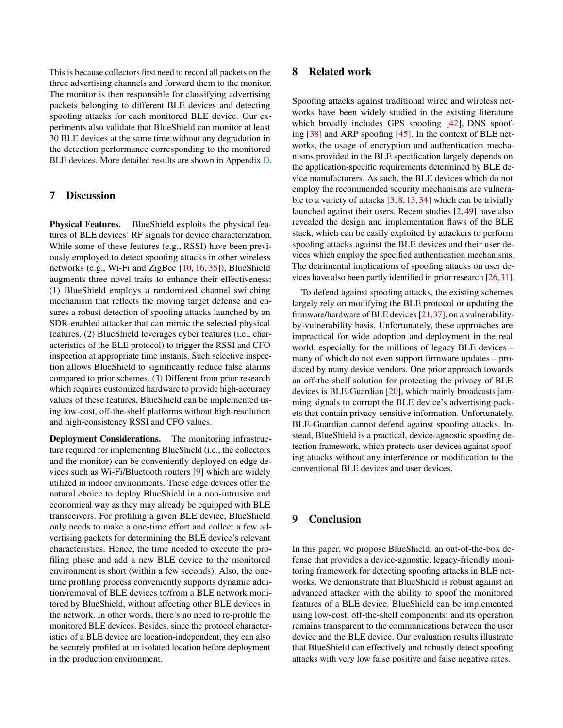This is because collectors first need to record all packets on the three advertising channels and forward them to the monitor. The monitor is then responsible for classifying advertising packets belonging to different BLE devices and detecting spoofing attacks for each monitored BLE device. Our experiments also validate that BlueShield can monitor at least 30 BLE devices at the same time without any degradation in the detection performance corresponding to the monitored BLE devices. More detailed results are shown in Appendix [D.](#page-14-0)

### <span id="page-10-0"></span>7 Discussion

Physical Features. BlueShield exploits the physical features of BLE devices' RF signals for device characterization. While some of these features (e.g., RSSI) have been previously employed to detect spoofing attacks in other wireless networks (e.g., Wi-Fi and ZigBee [\[10,](#page-11-15) [16,](#page-11-16) [35\]](#page-12-16)), BlueShield augments three novel traits to enhance their effectiveness: (1) BlueShield employs a randomized channel switching mechanism that reflects the moving target defense and ensures a robust detection of spoofing attacks launched by an SDR-enabled attacker that can mimic the selected physical features. (2) BlueShield leverages cyber features (i.e., characteristics of the BLE protocol) to trigger the RSSI and CFO inspection at appropriate time instants. Such selective inspection allows BlueShield to significantly reduce false alarms compared to prior schemes. (3) Different from prior research which requires customized hardware to provide high-accuracy values of these features, BlueShield can be implemented using low-cost, off-the-shelf platforms without high-resolution and high-consistency RSSI and CFO values.

Deployment Considerations. The monitoring infrastructure required for implementing BlueShield (i.e., the collectors and the monitor) can be conveniently deployed on edge devices such as Wi-Fi/Bluetooth routers [\[9\]](#page-11-17) which are widely utilized in indoor environments. These edge devices offer the natural choice to deploy BlueShield in a non-intrusive and economical way as they may already be equipped with BLE transceivers. For profiling a given BLE device, BlueShield only needs to make a one-time effort and collect a few advertising packets for determining the BLE device's relevant characteristics. Hence, the time needed to execute the profiling phase and add a new BLE device to the monitored environment is short (within a few seconds). Also, the onetime profiling process conveniently supports dynamic addition/removal of BLE devices to/from a BLE network monitored by BlueShield, without affecting other BLE devices in the network. In other words, there's no need to re-profile the monitored BLE devices. Besides, since the protocol characteristics of a BLE device are location-independent, they can also be securely profiled at an isolated location before deployment in the production environment.

### 8 Related work

Spoofing attacks against traditional wired and wireless networks have been widely studied in the existing literature which broadly includes GPS spoofing [\[42\]](#page-12-17), DNS spoofing [\[38\]](#page-12-18) and ARP spoofing [\[45\]](#page-13-10). In the context of BLE networks, the usage of encryption and authentication mechanisms provided in the BLE specification largely depends on the application-specific requirements determined by BLE device manufacturers. As such, the BLE devices which do not employ the recommended security mechanisms are vulnerable to a variety of attacks [\[3,](#page-11-18) [8,](#page-11-19) [13,](#page-11-1) [34\]](#page-12-19) which can be trivially launched against their users. Recent studies [\[2,](#page-11-6) [49\]](#page-13-0) have also revealed the design and implementation flaws of the BLE stack, which can be easily exploited by attackers to perform spoofing attacks against the BLE devices and their user devices which employ the specified authentication mechanisms. The detrimental implications of spoofing attacks on user devices have also been partly identified in prior research [\[26,](#page-12-1)[31\]](#page-12-20).

To defend against spoofing attacks, the existing schemes largely rely on modifying the BLE protocol or updating the firmware/hardware of BLE devices [\[21](#page-12-3)[,37\]](#page-12-2), on a vulnerabilityby-vulnerability basis. Unfortunately, these approaches are impractical for wide adoption and deployment in the real world, especially for the millions of legacy BLE devices – many of which do not even support firmware updates – produced by many device vendors. One prior approach towards an off-the-shelf solution for protecting the privacy of BLE devices is BLE-Guardian [\[20\]](#page-11-2), which mainly broadcasts jamming signals to corrupt the BLE device's advertising packets that contain privacy-sensitive information. Unfortunately, BLE-Guardian cannot defend against spoofing attacks. Instead, BlueShield is a practical, device-agnostic spoofing detection framework, which protects user devices against spoofing attacks without any interference or modification to the conventional BLE devices and user devices.

## 9 Conclusion

In this paper, we propose BlueShield, an out-of-the-box defense that provides a device-agnostic, legacy-friendly monitoring framework for detecting spoofing attacks in BLE networks. We demonstrate that BlueShield is robust against an advanced attacker with the ability to spoof the monitored features of a BLE device. BlueShield can be implemented using low-cost, off-the-shelf components; and its operation remains transparent to the communications between the user device and the BLE device. Our evaluation results illustrate that BlueShield can effectively and robustly detect spoofing attacks with very low false positive and false negative rates.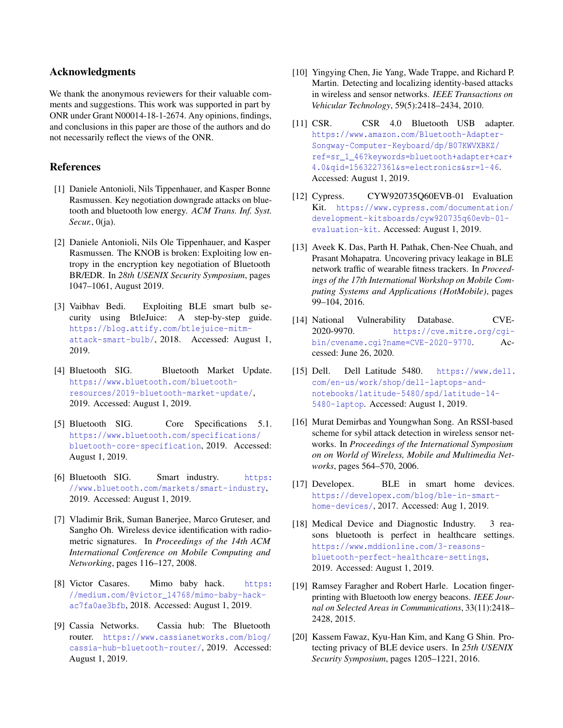### Acknowledgments

We thank the anonymous reviewers for their valuable comments and suggestions. This work was supported in part by ONR under Grant N00014-18-1-2674. Any opinions, findings, and conclusions in this paper are those of the authors and do not necessarily reflect the views of the ONR.

### References

- <span id="page-11-7"></span>[1] Daniele Antonioli, Nils Tippenhauer, and Kasper Bonne Rasmussen. Key negotiation downgrade attacks on bluetooth and bluetooth low energy. *ACM Trans. Inf. Syst. Secur.*, 0(ja).
- <span id="page-11-6"></span>[2] Daniele Antonioli, Nils Ole Tippenhauer, and Kasper Rasmussen. The KNOB is broken: Exploiting low entropy in the encryption key negotiation of Bluetooth BR/EDR. In *28th USENIX Security Symposium*, pages 1047–1061, August 2019.
- <span id="page-11-18"></span>[3] Vaibhav Bedi. Exploiting BLE smart bulb security using BtleJuice: A step-by-step guide. [https://blog.attify.com/btlejuice-mitm](https://blog.attify.com/btlejuice-mitm-attack-smart-bulb/)[attack-smart-bulb/](https://blog.attify.com/btlejuice-mitm-attack-smart-bulb/), 2018. Accessed: August 1, 2019.
- <span id="page-11-0"></span>[4] Bluetooth SIG. Bluetooth Market Update. [https://www.bluetooth.com/bluetooth](https://www.bluetooth.com/bluetooth-resources/2019-bluetooth-market-update/)[resources/2019-bluetooth-market-update/](https://www.bluetooth.com/bluetooth-resources/2019-bluetooth-market-update/), 2019. Accessed: August 1, 2019.
- <span id="page-11-5"></span>[5] Bluetooth SIG. Core Specifications 5.1. [https://www.bluetooth.com/specifications/](https://www.bluetooth.com/specifications/bluetooth-core-specification) [bluetooth-core-specification](https://www.bluetooth.com/specifications/bluetooth-core-specification), 2019. Accessed: August 1, 2019.
- <span id="page-11-3"></span>[6] Bluetooth SIG. Smart industry. [https:](https://www.bluetooth.com/markets/smart-industry) [//www.bluetooth.com/markets/smart-industry](https://www.bluetooth.com/markets/smart-industry), 2019. Accessed: August 1, 2019.
- <span id="page-11-10"></span>[7] Vladimir Brik, Suman Banerjee, Marco Gruteser, and Sangho Oh. Wireless device identification with radiometric signatures. In *Proceedings of the 14th ACM International Conference on Mobile Computing and Networking*, pages 116–127, 2008.
- <span id="page-11-19"></span>[8] Victor Casares. Mimo baby hack. [https:](https://medium.com/@victor_14768/mimo-baby-hack-ac7fa0ae3bfb) [//medium.com/@victor\\_14768/mimo-baby-hack](https://medium.com/@victor_14768/mimo-baby-hack-ac7fa0ae3bfb)[ac7fa0ae3bfb](https://medium.com/@victor_14768/mimo-baby-hack-ac7fa0ae3bfb), 2018. Accessed: August 1, 2019.
- <span id="page-11-17"></span>[9] Cassia Networks. Cassia hub: The Bluetooth router. [https://www.cassianetworks.com/blog/](https://www.cassianetworks.com/blog/cassia-hub-bluetooth-router/) [cassia-hub-bluetooth-router/](https://www.cassianetworks.com/blog/cassia-hub-bluetooth-router/), 2019. Accessed: August 1, 2019.
- <span id="page-11-15"></span>[10] Yingying Chen, Jie Yang, Wade Trappe, and Richard P. Martin. Detecting and localizing identity-based attacks in wireless and sensor networks. *IEEE Transactions on Vehicular Technology*, 59(5):2418–2434, 2010.
- <span id="page-11-13"></span>[11] CSR. CSR 4.0 Bluetooth USB adapter. [https://www.amazon.com/Bluetooth-Adapter-](https://www.amazon.com/Bluetooth-Adapter-Songway-Computer-Keyboard/dp/B07KWVXBKZ/ref=sr_1_46?keywords=bluetooth+adapter+car+4.0&qid=1563227361&s=electronics&sr=1-46)[Songway-Computer-Keyboard/dp/B07KWVXBKZ/](https://www.amazon.com/Bluetooth-Adapter-Songway-Computer-Keyboard/dp/B07KWVXBKZ/ref=sr_1_46?keywords=bluetooth+adapter+car+4.0&qid=1563227361&s=electronics&sr=1-46) [ref=sr\\_1\\_46?keywords=bluetooth+adapter+car+](https://www.amazon.com/Bluetooth-Adapter-Songway-Computer-Keyboard/dp/B07KWVXBKZ/ref=sr_1_46?keywords=bluetooth+adapter+car+4.0&qid=1563227361&s=electronics&sr=1-46) [4.0&qid=1563227361&s=electronics&sr=1-46](https://www.amazon.com/Bluetooth-Adapter-Songway-Computer-Keyboard/dp/B07KWVXBKZ/ref=sr_1_46?keywords=bluetooth+adapter+car+4.0&qid=1563227361&s=electronics&sr=1-46). Accessed: August 1, 2019.
- <span id="page-11-14"></span>[12] Cypress. CYW920735Q60EVB-01 Evaluation Kit. [https://www.cypress.com/documentation/](https://www.cypress.com/documentation/development-kitsboards/cyw920735q60evb-01-evaluation-kit) [development-kitsboards/cyw920735q60evb-01](https://www.cypress.com/documentation/development-kitsboards/cyw920735q60evb-01-evaluation-kit) [evaluation-kit](https://www.cypress.com/documentation/development-kitsboards/cyw920735q60evb-01-evaluation-kit). Accessed: August 1, 2019.
- <span id="page-11-1"></span>[13] Aveek K. Das, Parth H. Pathak, Chen-Nee Chuah, and Prasant Mohapatra. Uncovering privacy leakage in BLE network traffic of wearable fitness trackers. In *Proceedings of the 17th International Workshop on Mobile Computing Systems and Applications (HotMobile)*, pages 99–104, 2016.
- <span id="page-11-8"></span>[14] National Vulnerability Database. CVE-2020-9970. [https://cve.mitre.org/cgi](https://cve.mitre.org/cgi-bin/cvename.cgi?name=CVE-2020-9770)[bin/cvename.cgi?name=CVE-2020-9770](https://cve.mitre.org/cgi-bin/cvename.cgi?name=CVE-2020-9770). Accessed: June 26, 2020.
- <span id="page-11-12"></span>[15] Dell. Dell Latitude 5480. [https://www.dell.](https://www.dell.com/en-us/work/shop/dell-laptops-and-notebooks/latitude-5480/spd/latitude-14-5480-laptop) [com/en-us/work/shop/dell-laptops-and](https://www.dell.com/en-us/work/shop/dell-laptops-and-notebooks/latitude-5480/spd/latitude-14-5480-laptop)[notebooks/latitude-5480/spd/latitude-14-](https://www.dell.com/en-us/work/shop/dell-laptops-and-notebooks/latitude-5480/spd/latitude-14-5480-laptop) [5480-laptop](https://www.dell.com/en-us/work/shop/dell-laptops-and-notebooks/latitude-5480/spd/latitude-14-5480-laptop). Accessed: August 1, 2019.
- <span id="page-11-16"></span>[16] Murat Demirbas and Youngwhan Song. An RSSI-based scheme for sybil attack detection in wireless sensor networks. In *Proceedings of the International Symposium on on World of Wireless, Mobile and Multimedia Networks*, pages 564–570, 2006.
- <span id="page-11-9"></span>[17] Developex. BLE in smart home devices. [https://developex.com/blog/ble-in-smart](https://developex.com/blog/ble-in-smart-home-devices/)[home-devices/](https://developex.com/blog/ble-in-smart-home-devices/), 2017. Accessed: Aug 1, 2019.
- <span id="page-11-4"></span>[18] Medical Device and Diagnostic Industry. 3 reasons bluetooth is perfect in healthcare settings. [https://www.mddionline.com/3-reasons](https://www.mddionline.com/3-reasons-bluetooth-perfect-healthcare-settings)[bluetooth-perfect-healthcare-settings](https://www.mddionline.com/3-reasons-bluetooth-perfect-healthcare-settings), 2019. Accessed: August 1, 2019.
- <span id="page-11-11"></span>[19] Ramsey Faragher and Robert Harle. Location fingerprinting with Bluetooth low energy beacons. *IEEE Journal on Selected Areas in Communications*, 33(11):2418– 2428, 2015.
- <span id="page-11-2"></span>[20] Kassem Fawaz, Kyu-Han Kim, and Kang G Shin. Protecting privacy of BLE device users. In *25th USENIX Security Symposium*, pages 1205–1221, 2016.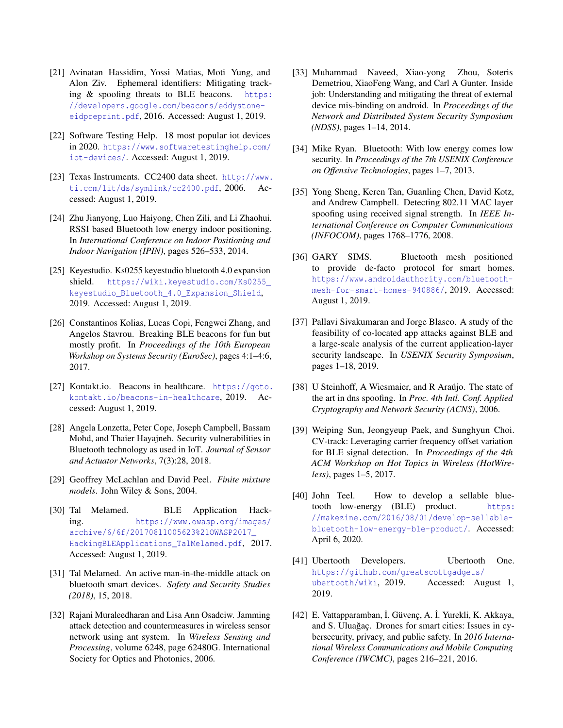- <span id="page-12-3"></span>[21] Avinatan Hassidim, Yossi Matias, Moti Yung, and Alon Ziv. Ephemeral identifiers: Mitigating tracking  $&$  spoofing threats to BLE beacons. [https:](https://developers.google.com/beacons/eddystone-eidpreprint.pdf) [//developers.google.com/beacons/eddystone](https://developers.google.com/beacons/eddystone-eidpreprint.pdf)[eidpreprint.pdf](https://developers.google.com/beacons/eddystone-eidpreprint.pdf), 2016. Accessed: August 1, 2019.
- <span id="page-12-9"></span>[22] Software Testing Help. 18 most popular iot devices in 2020. [https://www.softwaretestinghelp.com/](https://www.softwaretestinghelp.com/iot-devices/) [iot-devices/](https://www.softwaretestinghelp.com/iot-devices/). Accessed: August 1, 2019.
- <span id="page-12-15"></span>[23] Texas Instruments. CC2400 data sheet. [http://www.](http://www.ti.com/lit/ds/symlink/cc2400.pdf) [ti.com/lit/ds/symlink/cc2400.pdf](http://www.ti.com/lit/ds/symlink/cc2400.pdf), 2006. Accessed: August 1, 2019.
- <span id="page-12-11"></span>[24] Zhu Jianyong, Luo Haiyong, Chen Zili, and Li Zhaohui. RSSI based Bluetooth low energy indoor positioning. In *International Conference on Indoor Positioning and Indoor Navigation (IPIN)*, pages 526–533, 2014.
- <span id="page-12-14"></span>[25] Keyestudio. Ks0255 keyestudio bluetooth 4.0 expansion shield. [https://wiki.keyestudio.com/Ks0255\\_](https://wiki.keyestudio.com/Ks0255_keyestudio_Bluetooth_4.0_Expansion_Shield) [keyestudio\\_Bluetooth\\_4.0\\_Expansion\\_Shield](https://wiki.keyestudio.com/Ks0255_keyestudio_Bluetooth_4.0_Expansion_Shield), 2019. Accessed: August 1, 2019.
- <span id="page-12-1"></span>[26] Constantinos Kolias, Lucas Copi, Fengwei Zhang, and Angelos Stavrou. Breaking BLE beacons for fun but mostly profit. In *Proceedings of the 10th European Workshop on Systems Security (EuroSec)*, pages 4:1–4:6, 2017.
- <span id="page-12-5"></span>[27] Kontakt.io. Beacons in healthcare. [https://goto.](https://goto.kontakt.io/beacons-in-healthcare) [kontakt.io/beacons-in-healthcare](https://goto.kontakt.io/beacons-in-healthcare), 2019. Accessed: August 1, 2019.
- <span id="page-12-7"></span>[28] Angela Lonzetta, Peter Cope, Joseph Campbell, Bassam Mohd, and Thaier Hayajneh. Security vulnerabilities in Bluetooth technology as used in IoT. *Journal of Sensor and Actuator Networks*, 7(3):28, 2018.
- <span id="page-12-21"></span>[29] Geoffrey McLachlan and David Peel. *Finite mixture models*. John Wiley & Sons, 2004.
- <span id="page-12-6"></span>[30] Tal Melamed. BLE Application Hacking. [https://www.owasp.org/images/](https://www.owasp.org/images/archive/6/6f/20170811005623%21OWASP2017_HackingBLEApplications_TalMelamed.pdf) [archive/6/6f/20170811005623%21OWASP2017\\_](https://www.owasp.org/images/archive/6/6f/20170811005623%21OWASP2017_HackingBLEApplications_TalMelamed.pdf) [HackingBLEApplications\\_TalMelamed.pdf](https://www.owasp.org/images/archive/6/6f/20170811005623%21OWASP2017_HackingBLEApplications_TalMelamed.pdf), 2017. Accessed: August 1, 2019.
- <span id="page-12-20"></span>[31] Tal Melamed. An active man-in-the-middle attack on bluetooth smart devices. *Safety and Security Studies (2018)*, 15, 2018.
- <span id="page-12-8"></span>[32] Rajani Muraleedharan and Lisa Ann Osadciw. Jamming attack detection and countermeasures in wireless sensor network using ant system. In *Wireless Sensing and Processing*, volume 6248, page 62480G. International Society for Optics and Photonics, 2006.
- <span id="page-12-4"></span>[33] Muhammad Naveed, Xiao-yong Zhou, Soteris Demetriou, XiaoFeng Wang, and Carl A Gunter. Inside job: Understanding and mitigating the threat of external device mis-binding on android. In *Proceedings of the Network and Distributed System Security Symposium (NDSS)*, pages 1–14, 2014.
- <span id="page-12-19"></span>[34] Mike Ryan. Bluetooth: With low energy comes low security. In *Proceedings of the 7th USENIX Conference on Offensive Technologies*, pages 1–7, 2013.
- <span id="page-12-16"></span>[35] Yong Sheng, Keren Tan, Guanling Chen, David Kotz, and Andrew Campbell. Detecting 802.11 MAC layer spoofing using received signal strength. In *IEEE International Conference on Computer Communications (INFOCOM)*, pages 1768–1776, 2008.
- <span id="page-12-0"></span>[36] GARY SIMS. Bluetooth mesh positioned to provide de-facto protocol for smart homes. [https://www.androidauthority.com/bluetooth](https://www.androidauthority.com/bluetooth-mesh-for-smart-homes-940886/)[mesh-for-smart-homes-940886/](https://www.androidauthority.com/bluetooth-mesh-for-smart-homes-940886/), 2019. Accessed: August 1, 2019.
- <span id="page-12-2"></span>[37] Pallavi Sivakumaran and Jorge Blasco. A study of the feasibility of co-located app attacks against BLE and a large-scale analysis of the current application-layer security landscape. In *USENIX Security Symposium*, pages 1–18, 2019.
- <span id="page-12-18"></span>[38] U Steinhoff, A Wiesmaier, and R Araújo. The state of the art in dns spoofing. In *Proc. 4th Intl. Conf. Applied Cryptography and Network Security (ACNS)*, 2006.
- <span id="page-12-10"></span>[39] Weiping Sun, Jeongyeup Paek, and Sunghyun Choi. CV-track: Leveraging carrier frequency offset variation for BLE signal detection. In *Proceedings of the 4th ACM Workshop on Hot Topics in Wireless (HotWireless)*, pages 1–5, 2017.
- <span id="page-12-13"></span>[40] John Teel. How to develop a sellable bluetooth low-energy (BLE) product. [https:](https://makezine.com/2016/08/01/develop-sellable-bluetooth-low-energy-ble-product/) [//makezine.com/2016/08/01/develop-sellable](https://makezine.com/2016/08/01/develop-sellable-bluetooth-low-energy-ble-product/)[bluetooth-low-energy-ble-product/](https://makezine.com/2016/08/01/develop-sellable-bluetooth-low-energy-ble-product/). Accessed: April 6, 2020.
- <span id="page-12-12"></span>[41] Ubertooth Developers. Ubertooth One. [https://github.com/greatscottgadgets/](https://github.com/greatscottgadgets/ubertooth/wiki) [ubertooth/wiki](https://github.com/greatscottgadgets/ubertooth/wiki), 2019. Accessed: August 1, 2019.
- <span id="page-12-17"></span>[42] E. Vattapparamban, İ. Güvenç, A. İ. Yurekli, K. Akkaya, and S. Uluagaç. Drones for smart cities: Issues in cybersecurity, privacy, and public safety. In *2016 International Wireless Communications and Mobile Computing Conference (IWCMC)*, pages 216–221, 2016.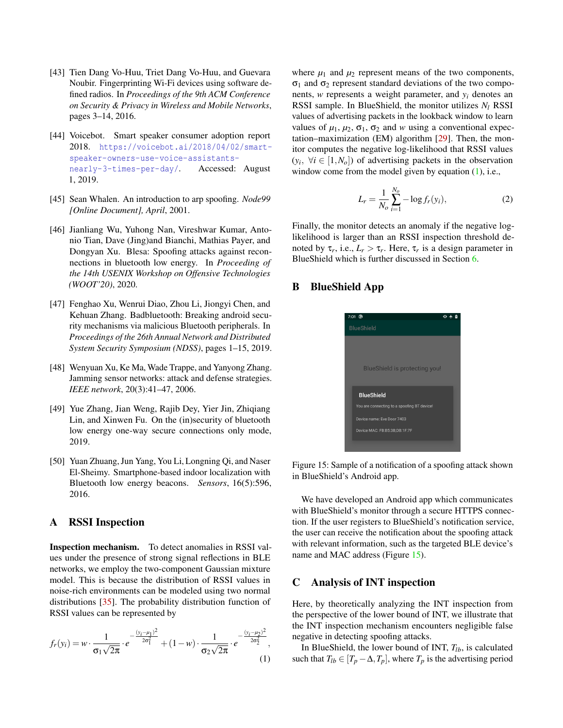- <span id="page-13-6"></span>[43] Tien Dang Vo-Huu, Triet Dang Vo-Huu, and Guevara Noubir. Fingerprinting Wi-Fi devices using software defined radios. In *Proceedings of the 9th ACM Conference on Security & Privacy in Wireless and Mobile Networks*, pages 3–14, 2016.
- <span id="page-13-9"></span>[44] Voicebot. Smart speaker consumer adoption report 2018. [https://voicebot.ai/2018/04/02/smart](https://voicebot.ai/2018/04/02/smart-speaker-owners-use-voice-assistants-nearly-3-times-per-day/)[speaker-owners-use-voice-assistants](https://voicebot.ai/2018/04/02/smart-speaker-owners-use-voice-assistants-nearly-3-times-per-day/)[nearly-3-times-per-day/](https://voicebot.ai/2018/04/02/smart-speaker-owners-use-voice-assistants-nearly-3-times-per-day/). Accessed: August 1, 2019.
- <span id="page-13-10"></span>[45] Sean Whalen. An introduction to arp spoofing. *Node99 [Online Document], April*, 2001.
- <span id="page-13-1"></span>[46] Jianliang Wu, Yuhong Nan, Vireshwar Kumar, Antonio Tian, Dave (Jing)and Bianchi, Mathias Payer, and Dongyan Xu. Blesa: Spoofing attacks against reconnections in bluetooth low energy. In *Proceeding of the 14th USENIX Workshop on Offensive Technologies (WOOT'20)*, 2020.
- <span id="page-13-2"></span>[47] Fenghao Xu, Wenrui Diao, Zhou Li, Jiongyi Chen, and Kehuan Zhang. Badbluetooth: Breaking android security mechanisms via malicious Bluetooth peripherals. In *Proceedings of the 26th Annual Network and Distributed System Security Symposium (NDSS)*, pages 1–15, 2019.
- <span id="page-13-3"></span>[48] Wenyuan Xu, Ke Ma, Wade Trappe, and Yanyong Zhang. Jamming sensor networks: attack and defense strategies. *IEEE network*, 20(3):41–47, 2006.
- <span id="page-13-0"></span>[49] Yue Zhang, Jian Weng, Rajib Dey, Yier Jin, Zhiqiang Lin, and Xinwen Fu. On the (in)security of bluetooth low energy one-way secure connections only mode, 2019.
- <span id="page-13-4"></span>[50] Yuan Zhuang, Jun Yang, You Li, Longning Qi, and Naser El-Sheimy. Smartphone-based indoor localization with Bluetooth low energy beacons. *Sensors*, 16(5):596, 2016.

### <span id="page-13-5"></span>A RSSI Inspection

Inspection mechanism. To detect anomalies in RSSI values under the presence of strong signal reflections in BLE networks, we employ the two-component Gaussian mixture model. This is because the distribution of RSSI values in noise-rich environments can be modeled using two normal distributions [\[35\]](#page-12-16). The probability distribution function of RSSI values can be represented by

$$
f_r(y_i) = w \cdot \frac{1}{\sigma_1 \sqrt{2\pi}} \cdot e^{-\frac{(y_i - \mu_1)^2}{2\sigma_1^2}} + (1 - w) \cdot \frac{1}{\sigma_2 \sqrt{2\pi}} \cdot e^{-\frac{(y_i - \mu_2)^2}{2\sigma_2^2}},
$$
(1)

where  $\mu_1$  and  $\mu_2$  represent means of the two components,  $σ<sub>1</sub>$  and  $σ<sub>2</sub>$  represent standard deviations of the two components, *w* represents a weight parameter, and *y<sup>i</sup>* denotes an RSSI sample. In BlueShield, the monitor utilizes *N<sup>l</sup>* RSSI values of advertising packets in the lookback window to learn values of  $\mu_1$ ,  $\mu_2$ ,  $\sigma_1$ ,  $\sigma_2$  and *w* using a conventional expectation–maximization (EM) algorithm [\[29\]](#page-12-21). Then, the monitor computes the negative log-likelihood that RSSI values  $(y_i, \forall i \in [1, N_o])$  of advertising packets in the observation window come from the model given by equation  $(1)$ , i.e.,

$$
L_r = \frac{1}{N_o} \sum_{i=1}^{N_o} -\log f_r(y_i),
$$
 (2)

Finally, the monitor detects an anomaly if the negative loglikelihood is larger than an RSSI inspection threshold denoted by  $\tau_r$ , i.e.,  $L_r > \tau_r$ . Here,  $\tau_r$  is a design parameter in BlueShield which is further discussed in Section [6.](#page-6-0)

# <span id="page-13-12"></span><span id="page-13-7"></span>B BlueShield App

| $7:01$ <sup></sup>                          |  |
|---------------------------------------------|--|
| <b>BlueShield</b>                           |  |
|                                             |  |
|                                             |  |
| <b>BlueShield is protecting you!</b>        |  |
|                                             |  |
|                                             |  |
| <b>BlueShield</b>                           |  |
| You are connecting to a spoofing BT device! |  |
| Device name: Eye Door 7403                  |  |
| Device MAC: FB:B5:3B:DB:1F:7F               |  |
|                                             |  |

Figure 15: Sample of a notification of a spoofing attack shown in BlueShield's Android app.

We have developed an Android app which communicates with BlueShield's monitor through a secure HTTPS connection. If the user registers to BlueShield's notification service, the user can receive the notification about the spoofing attack with relevant information, such as the targeted BLE device's name and MAC address (Figure [15\)](#page-13-12).

### <span id="page-13-8"></span>C Analysis of INT inspection

<span id="page-13-11"></span>Here, by theoretically analyzing the INT inspection from the perspective of the lower bound of INT, we illustrate that the INT inspection mechanism encounters negligible false negative in detecting spoofing attacks.

In BlueShield, the lower bound of INT,  $T_{lb}$ , is calculated such that  $T_{lb} \in [T_p - \Delta, T_p]$ , where  $T_p$  is the advertising period